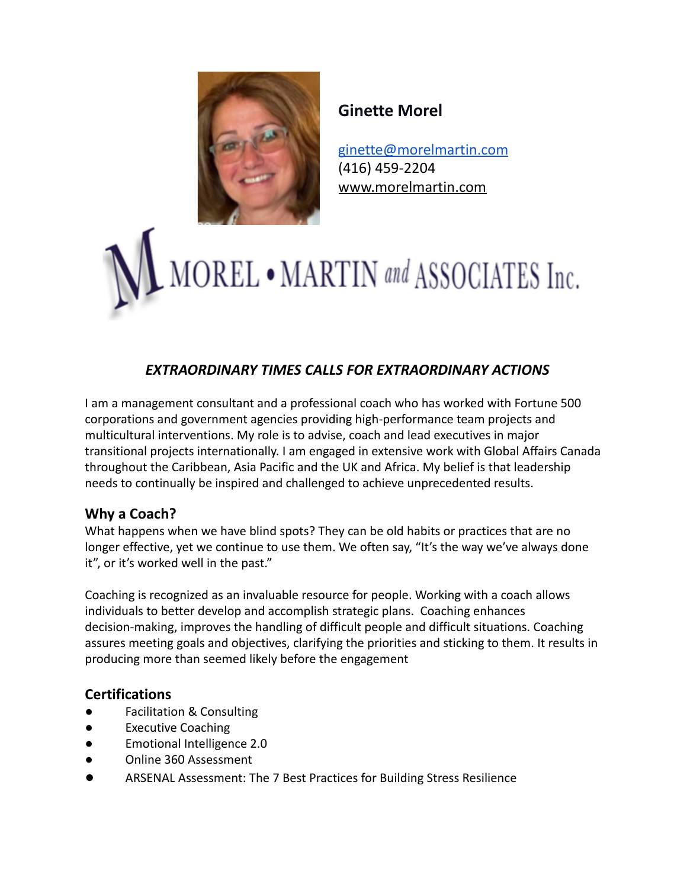

# **Ginette Morel**

[ginette@morelmartin.com](mailto:ginette@morelmartin.com) (416) 459-2204 [www.morelmartin.com](http://www.morelmartin.com)



# *EXTRAORDINARY TIMES CALLS FOR EXTRAORDINARY ACTIONS*

I am a management consultant and a professional coach who has worked with Fortune 500 corporations and government agencies providing high-performance team projects and multicultural interventions. My role is to advise, coach and lead executives in major transitional projects internationally. I am engaged in extensive work with Global Affairs Canada throughout the Caribbean, Asia Pacific and the UK and Africa. My belief is that leadership needs to continually be inspired and challenged to achieve unprecedented results.

## **Why a Coach?**

What happens when we have blind spots? They can be old habits or practices that are no longer effective, yet we continue to use them. We often say, "It's the way we've always done it", or it's worked well in the past."

Coaching is recognized as an invaluable resource for people. Working with a coach allows individuals to better develop and accomplish strategic plans. Coaching enhances decision-making, improves the handling of difficult people and difficult situations. Coaching assures meeting goals and objectives, clarifying the priorities and sticking to them. It results in producing more than seemed likely before the engagement

### **Certifications**

- **●** Facilitation & Consulting
- **●** Executive Coaching
- **●** Emotional Intelligence 2.0
- **●** Online 360 Assessment
- **●** ARSENAL Assessment: The 7 Best Practices for Building Stress Resilience